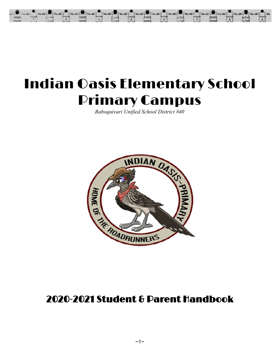

# Indian Oasis Elementary School Primary Campus

*Baboquivari Unified School District #40*



# 2020-2021 Student & Parent Handbook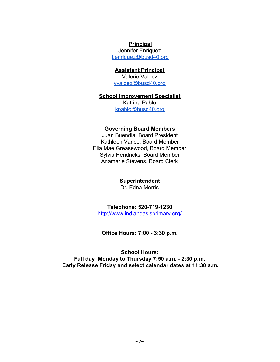#### **Principal**

Jennifer Enriquez [j.enriquez@busd40.org](mailto:j.enriquez@busd40.org)

#### **Assistant Principal**

Valerie Valdez [vvaldez@busd40.org](mailto:vvaldez@busd40.org)

#### **School Improvement Specialist**

Katrina Pablo [kpablo@busd40.org](mailto:kpablo@busd40.org)

#### **Governing Board Members**

Juan Buendia, Board President Kathleen Vance, Board Member Ella Mae Greasewood, Board Member Sylvia Hendricks, Board Member Anamarie Stevens, Board Clerk

#### **Superintendent**

Dr. Edna Morris

#### **Telephone: 520-719-1230**

<http://www.indianoasisprimary.org/>

**Office Hours: 7:00 - 3:30 p.m.**

**School Hours: Full day Monday to Thursday 7:50 a.m. - 2:30 p.m. Early Release Friday and select calendar dates at 11:30 a.m.**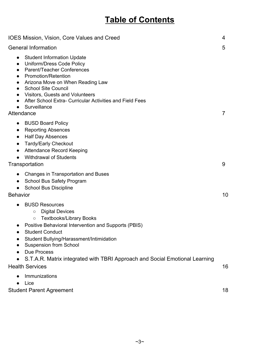# **Table of Contents**

| <b>IOES Mission, Vision, Core Values and Creed</b>                                                                                                                                                                                                                                                                                                                                                                                                    | 4  |
|-------------------------------------------------------------------------------------------------------------------------------------------------------------------------------------------------------------------------------------------------------------------------------------------------------------------------------------------------------------------------------------------------------------------------------------------------------|----|
| <b>General Information</b>                                                                                                                                                                                                                                                                                                                                                                                                                            | 5  |
| <b>Student Information Update</b><br>$\bullet$<br>Uniform/Dress Code Policy<br>$\bullet$<br><b>Parent/Teacher Conferences</b><br>$\bullet$<br>Promotion/Retention<br>$\bullet$<br>Arizona Move on When Reading Law<br>$\bullet$<br><b>School Site Council</b><br>$\bullet$<br><b>Visitors, Guests and Volunteers</b><br>$\bullet$<br>After School Extra- Curricular Activities and Field Fees<br>$\bullet$<br>Surveillance<br>$\bullet$<br>Attendance | 7  |
| <b>BUSD Board Policy</b><br>$\bullet$<br><b>Reporting Absences</b><br><b>Half Day Absences</b><br>$\bullet$<br><b>Tardy/Early Checkout</b><br>$\bullet$<br><b>Attendance Record Keeping</b><br>$\bullet$<br><b>Withdrawal of Students</b><br>Transportation                                                                                                                                                                                           | 9  |
| Changes in Transportation and Buses<br>School Bus Safety Program<br>$\bullet$<br><b>School Bus Discipline</b><br><b>Behavior</b>                                                                                                                                                                                                                                                                                                                      | 10 |
| <b>BUSD Resources</b><br><b>Digital Devices</b><br>$\circlearrowright$<br><b>Textbooks/Library Books</b><br>$\circ$<br>Positive Behavioral Intervention and Supports (PBIS)<br><b>Student Conduct</b><br>Student Bullying/Harassment/Intimidation<br><b>Suspension from School</b><br><b>Due Process</b><br>S.T.A.R. Matrix integrated with TBRI Approach and Social Emotional Learning                                                               |    |
| <b>Health Services</b>                                                                                                                                                                                                                                                                                                                                                                                                                                | 16 |
| Immunizations<br>Lice<br><b>Student Parent Agreement</b>                                                                                                                                                                                                                                                                                                                                                                                              | 18 |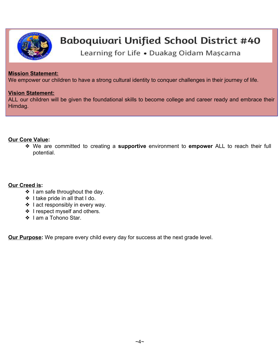

# Baboquivari Unified School District #40

Learning for Life . Duakag Oidam Mascama

#### **Mission Statement:**

We empower our children to have a strong cultural identity to conquer challenges in their journey of life.

#### **Vision Statement:**

ALL our children will be given the foundational skills to become college and career ready and embrace their Himdag.

#### **Our Core Value:**

❖ We are committed to creating a **supportive** environment to **empower** ALL to reach their full potential.

#### **Our Creed is:**

- ❖ I am safe throughout the day.
- ❖ I take pride in all that I do.
- ❖ I act responsibly in every way.
- ❖ I respect myself and others.
- ❖ I am a Tohono Star.

**Our Purpose:** We prepare every child every day for success at the next grade level.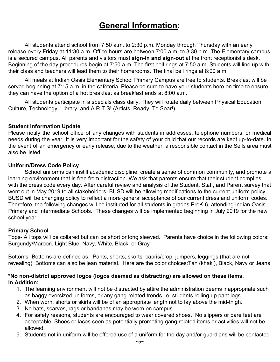# **General Information:**

All students attend school from 7:50 a.m. to 2:30 p.m. Monday through Thursday with an early release every Friday at 11:30 a.m. Office hours are between 7:00 a.m. to 3:30 p.m. The Elementary campus is a secured campus. All parents and visitors must **sign-in and sign-out** at the front receptionist's desk. Beginning of the day procedures begin at 7:50 a.m. The first bell rings at 7:50 a.m. Students will line up with their class and teachers will lead them to their homerooms. The final bell rings at 8:00 a.m.

All meals at Indian Oasis Elementary School Primary Campus are free to students. Breakfast will be served beginning at 7:15 a.m. in the cafeteria. Please be sure to have your students here on time to ensure they can have the option of a hot breakfast as breakfast ends at 8:00 a.m.

All students participate in a specials class daily. They will rotate daily between Physical Education, Culture, Technology, Library, and A.R.T.S! (Artists, Ready, To Soar!).

#### **Student Information Update**

Please notify the school office of any changes with students in addresses, telephone numbers, or medical needs during the year. It is very important for the safety of your child that our records are kept up-to-date. In the event of an emergency or early release, due to the weather, a responsible contact in the Sells area must also be listed.

#### **Uniform/Dress Code Policy**

School uniforms can instill academic discipline, create a sense of common community, and promote a learning environment that is free from distraction. We ask that parents ensure that their student complies with the dress code every day. After careful review and analysis of the Student, Staff, and Parent survey that went out in May 2019 to all stakeholders, BUSD will be allowing modifications to the current uniform policy. BUSD will be changing policy to reflect a more general acceptance of our current dress and uniform codes. Therefore, the following changes will be instituted for all students in grades PreK-6, attending Indian Oasis Primary and Intermediate Schools. These changes will be implemented beginning in July 2019 for the new school year.

#### **Primary School**

Tops- All tops will be collared but can be short or long sleeved. Parents have choice in the following colors: Burgundy/Maroon, Light Blue, Navy, White, Black, or Gray

Bottoms- Bottoms are defined as: Pants, shorts, skorts, capris/crop, jumpers, leggings (that are not revealing) Bottoms can also be jean material. Here are the color choices:Tan (khaki), Black, Navy or Jeans

#### **\*No non-district approved logos (logos deemed as distracting) are allowed on these items. In Addition:**

- 1. The learning environment will not be distracted by attire the administration deems inappropriate such as baggy oversized uniforms, or any gang-related trends i.e. students rolling up pant legs.
- 2. When worn, shorts or skirts will be of an appropriate length not to lay above the mid-thigh.
- 3. No hats, scarves, rags or bandanas may be worn on campus.
- 4. For safety reasons, students are encouraged to wear covered shoes. No slippers or bare feet are acceptable. Shoes or laces seen as potentially promoting gang related items or activities will not be allowed.
- 5. Students not in uniform will be offered use of a uniform for the day and/or guardians will be contacted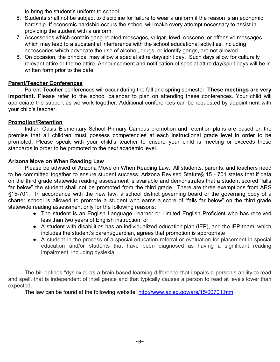to bring the student's uniform to school.

- 6. Students shall not be subject to discipline for failure to wear a uniform if the reason is an economic hardship. If economic hardship occurs the school will make every attempt necessary to assist in providing the student with a uniform.
- 7. Accessories which contain gang-related messages, vulgar, lewd, obscene, or offensive messages which may lead to a substantial interference with the school educational activities, including accessories which advocate the use of alcohol, drugs, or identify gangs, are not allowed.
- 8. On occasion, the principal may allow a special attire day/spirit day. Such days allow for culturally relevant attire or theme attire. Announcement and notification of special attire day/spirit days will be in written form prior to the date.

#### **Parent/Teacher Conferences**

Parent-Teacher conferences will occur during the fall and spring semester. **These meetings are very important.** Please refer to the school calendar to plan on attending these conferences. Your child will appreciate the support as we work together. Additional conferences can be requested by appointment with your child's teacher.

#### **Promotion/Retention**

Indian Oasis Elementary School Primary Campus promotion and retention plans are based on the premise that all children must possess competencies at each instructional grade level in order to be promoted. Please speak with your child's teacher to ensure your child is meeting or exceeds these standards in order to be promoted to the next academic level.

#### **Arizona Move on When Reading Law**

Please be advised of Arizona Move on When Reading Law. All students, parents, and teachers need to be committed together to ensure student success. Arizona Revised Statute§ 15 - 701 states that if data on the third grade statewide reading assessment is available and demonstrates that a student scored "falls far below" the student shall not be promoted from the third grade. There are three exemptions from ARS §15-701. In accordance with the new law, a school district governing board or the governing body of a charter school is allowed to promote a student who earns a score of "falls far below" on the third grade statewide reading assessment only for the following reasons:

- The student is an English Language Learner or Limited English Proficient who has received less than two years of English instruction; or
- A student with disabilities has an individualized education plan (IEP), and the IEP-team, which includes the student's parent/guardian, agrees that promotion is appropriate
- A student in the process of a special education referral or evaluation for placement in special education and/or students that have been diagnosed as having a significant reading impairment, including dyslexia.

The bill defines "dyslexia" as a brain-based learning difference that impairs a person's ability to read and spell, that is independent of intelligence and that typically causes a person to read at levels lower than expected.

The law can be found at the following website: <http://www.azleg.gov/ars/15/00701.htm>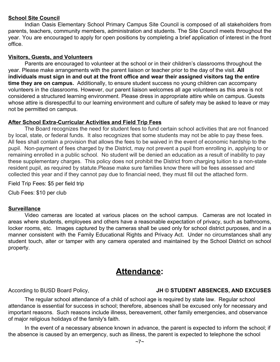#### **School Site Council**

Indian Oasis Elementary School Primary Campus Site Council is composed of all stakeholders from parents, teachers, community members, administration and students. The Site Council meets throughout the year. You are encouraged to apply for open positions by completing a brief application of interest in the front office.

#### **Visitors, Guests, and Volunteers**

Parents are encouraged to volunteer at the school or in their children's classrooms throughout the year. Please make arrangements with the parent liaison or teacher prior to the day of the visit. **All individuals must sign in and out at the front office and wear their assigned visitors tag the entire time they are on campus.** Additionally, to ensure student success no young children can accompany volunteers in the classrooms. However, our parent liaison welcomes all age volunteers as this area is not considered a structured learning environment. Please dress in appropriate attire while on campus. Guests whose attire is disrespectful to our learning environment and culture of safety may be asked to leave or may not be permitted on campus.

#### **After School Extra-Curricular Activities and Field Trip Fees**

The Board recognizes the need for student fees to fund certain school activities that are not financed by local, state, or federal funds. It also recognizes that some students may not be able to pay these fees. All fees shall contain a provision that allows the fees to be waived in the event of economic hardship to the pupil. Non-payment of fees charged by the District, may not prevent a pupil from enrolling in, applying to or remaining enrolled in a public school. No student will be denied an education as a result of inability to pay these supplementary charges. This policy does not prohibit the District from charging tuition to a non-state resident pupil, as required by statute.Please make sure families know there will be fees assessed and collected this year and if they cannot pay due to financial need, they must fill out the attached form.

Field Trip Fees: \$5 per field trip

Club Fees: \$10 per club

#### **Surveillance**

Video cameras are located at various places on the school campus. Cameras are not located in areas where students, employees and others have a reasonable expectation of privacy, such as bathrooms, locker rooms, etc. Images captured by the cameras shall be used only for school district purposes, and in a manner consistent with the Family Educational Rights and Privacy Act. Under no circumstances shall any student touch, alter or tamper with any camera operated and maintained by the School District on school property.

### **Attendance:**

#### According to BUSD Board Policy, **JH © STUDENT ABSENCES, AND EXCUSES**

The regular school attendance of a child of school age is required by state law. Regular school attendance is essential for success in school; therefore, absences shall be excused only for necessary and important reasons. Such reasons include illness, bereavement, other family emergencies, and observance of major religious holidays of the family's faith.

In the event of a necessary absence known in advance, the parent is expected to inform the school; if the absence is caused by an emergency, such as illness, the parent is expected to telephone the school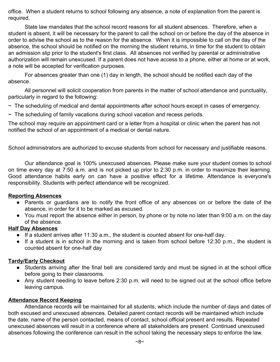office. When a student returns to school following any absence, a note of explanation from the parent is required.

State law mandates that the school record reasons for all student absences. Therefore, when a student is absent, it will be necessary for the parent to call the school on or before the day of the absence in order to advise the school as to the reason for the absence. When it is impossible to call on the day of the absence, the school should be notified on the morning the student returns, in time for the student to obtain an admission slip prior to the student's first class. All absences not verified by parental or administrative authorization will remain unexcused. If a parent does not have access to a phone, either at home or at work, a note will be accepted for verification purposes.

For absences greater than one (1) day in length, the school should be notified each day of the absence.

All personnel will solicit cooperation from parents in the matter of school attendance and punctuality, particularly in regard to the following:

- $\sim$  The scheduling of medical and dental appointments after school hours except in cases of emergency.
- $\sim$  The scheduling of family vacations during school vacation and recess periods.

The school may require an appointment card or a letter from a hospital or clinic when the parent has not notified the school of an appointment of a medical or dental nature.

School administrators are authorized to excuse students from school for necessary and justifiable reasons.

Our attendance goal is 100% unexcused absences. Please make sure your student comes to school on time every day at 7:50 a.m. and is not picked up prior to 2:30 p.m. in order to maximize their learning. Good attendance habits early on can have a positive effect for a lifetime. Attendance is everyone's responsibility. Students with perfect attendance will be recognized.

#### **Reporting Absences**

- Parents or guardians are to notify the front office of any absences on or before the date of the absence, in order for it to be marked as excused.
- You must report the absence either in person, by phone or by note no later than 9:00 a.m. on the day of the absence.

#### **Half Day Absences**

- $\bullet$  If a student arrives after 11:30 a.m., the student is counted absent for one-half day.
- If a student is in school in the morning and is taken from school before 12:30 p.m., the student is counted absent for one-half day

#### **Tardy/Early Checkout**

- Students arriving after the final bell are considered tardy and must be signed in at the school office before going to their classrooms.
- Any student needing to leave before 2:30 p.m. will need to be signed out at the school office before leaving campus.

#### **Attendance Record Keeping**

Attendance records will be maintained for all students, which include the number of days and dates of both excused and unexcused absences. Detailed parent contact records will be maintained which include the date, name of the person contacted, means of contact, school official present and results. Repeated unexcused absences will result in a conference where all stakeholders are present. Continued unexcused absences following the conference can result in the school taking the necessary steps to enforce the law.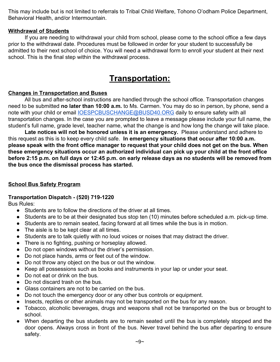This may include but is not limited to referrals to Tribal Child Welfare, Tohono O'odham Police Department, Behavioral Health, and/or Intermountain.

#### **Withdrawal of Students**

If you are needing to withdrawal your child from school, please come to the school office a few days prior to the withdrawal date. Procedures must be followed in order for your student to successfully be admitted to their next school of choice. You will need a withdrawal form to enroll your student at their next school. This is the final step within the withdrawal process.

### **Transportation:**

#### **Changes in Transportation and Buses**

All bus and after-school instructions are handled through the school office. Transportation changes need to be submitted **no later than 10:00 a.m.** to Ms. Carmen. You may do so in person, by phone, send a note with your child or email **IOESPCBUSCHANGE@BUSD40.ORG** daily to ensure safety with all transportation changes. In the case you are prompted to leave a message please include your full name, the student's full name, grade level, teacher name, what the change is and how long the change will take place.

**Late notices will not be honored unless it is an emergency.** Please understand and adhere to this request as this is to keep every child safe. **In emergency situations that occur after 10:00 a.m. please speak with the front office manager to request that your child does not get on the bus. When these emergency situations occur an authorized individual can pick up your child at the front office before 2:15 p.m. on full days or 12:45 p.m. on early release days as no students will be removed from the bus once the dismissal process has started.**

#### **School Bus Safety Program**

#### **Transportation Dispatch - (520) 719-1220**

Bus Rules:

- Students are to follow the directions of the driver at all times.
- Students are to be at their designated bus stop ten (10) minutes before scheduled a.m. pick-up time.
- Students are to remain seated, facing forward at all times while the bus is in motion.
- The aisle is to be kept clear at all times.
- Students are to talk quietly with no loud voices or noises that may distract the driver.
- There is no fighting, pushing or horseplay allowed.
- Do not open windows without the driver's permission.
- Do not place hands, arms or feet out of the window.
- Do not throw any object on the bus or out the window.
- Keep all possessions such as books and instruments in your lap or under your seat.
- Do not eat or drink on the bus.
- Do not discard trash on the bus.
- Glass containers are not to be carried on the bus.
- Do not touch the emergency door or any other bus controls or equipment.
- Insects, reptiles or other animals may not be transported on the bus for any reason.
- Tobacco, alcoholic beverages, drugs and weapons shall not be transported on the bus or brought to school.
- **●** When departing the bus students are to remain seated until the bus is completely stopped and the door opens. Always cross in front of the bus. Never travel behind the bus after departing to ensure safety.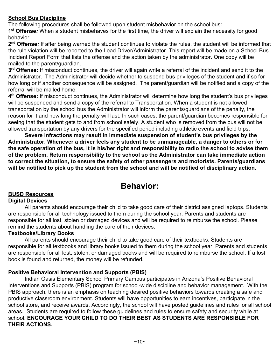#### **School Bus Discipline**

The following procedures shall be followed upon student misbehavior on the school bus:

**1 st Offense***:* When a student misbehaves for the first time, the driver will explain the necessity for good behavior.

2<sup>nd</sup> Offense: If after being warned the student continues to violate the rules, the student will be informed that the rule violation will be reported to the Lead Driver/Administrator. This report will be made on a School Bus Incident Report Form that lists the offense and the action taken by the administrator. One copy will be mailed to the parent/guardian.

**3 rd Offense:** If misconduct continues, the driver will again write a referral of the incident and send it to the Administrator. The Administrator will decide whether to suspend bus privileges of the student and if so for how long or if another consequence will be assigned. The parent/guardian will be notified and a copy of the referral will be mailed home.

**4 th Offense:** If misconduct continues, the Administrator will determine how long the student's bus privileges will be suspended and send a copy of the referral to Transportation. When a student is not allowed transportation by the school bus the Administrator will inform the parents/guardians of the penalty, the reason for it and how long the penalty will last. In such cases, the parent/guardian becomes responsible for seeing that the student gets to and from school safely. A student who is removed from the bus will not be allowed transportation by any drivers for the specified period including athletic events and field trips.

**Severe infractions may result in immediate suspension of student's bus privileges by the Administrator. Whenever a driver feels any student to be unmanageable, a danger to others or for the safe operation of the bus, it is his/her right and responsibility to radio the school to advise them of the problem. Return responsibility to the school so the Administrator can take immediate action to correct the situation, to ensure the safety of other passengers and motorists. Parents/guardians will be notified to pick up the student from the school and will be notified of disciplinary action.**

## **Behavior:**

#### **BUSD Resources**

#### **Digital Devices**

All parents should encourage their child to take good care of their district assigned laptops. Students are responsible for all technology issued to them during the school year. Parents and students are responsible for all lost, stolen or damaged devices and will be required to reimburse the school. Please remind the students about handling the care of their devices.

#### **Textbooks/Library Books**

All parents should encourage their child to take good care of their textbooks. Students are responsible for all textbooks and library books issued to them during the school year. Parents and students are responsible for all lost, stolen, or damaged books and will be required to reimburse the school. If a lost book is found and returned, the money will be refunded.

#### **Positive Behavioral Intervention and Supports (PBIS)**

Indian Oasis Elementary School Primary Campus participates in Arizona's Positive Behavioral Interventions and Supports (PBIS) program for school-wide discipline and behavior management. With the PBIS approach, there is an emphasis on teaching desired positive behaviors towards creating a safe and productive classroom environment. Students will have opportunities to earn incentives, participate in the school store, and receive awards. Accordingly, the school will have posted guidelines and rules for all school areas. Students are required to follow these guidelines and rules to ensure safety and security while at school. **ENCOURAGE YOUR CHILD TO DO THEIR BEST AS STUDENTS ARE RESPONSIBLE FOR THEIR ACTIONS.**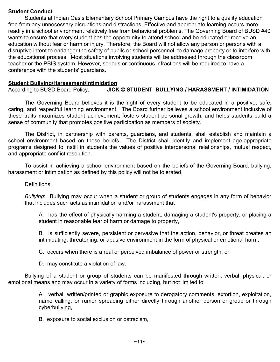#### **Student Conduct**

Students at Indian Oasis Elementary School Primary Campus have the right to a quality education free from any unnecessary disruptions and distractions. Effective and appropriate learning occurs more readily in a school environment relatively free from behavioral problems. The Governing Board of BUSD #40 wants to ensure that every student has the opportunity to attend school and be educated or receive an education without fear or harm or injury. Therefore, the Board will not allow any person or persons with a disruptive intent to endanger the safety of pupils or school personnel, to damage property or to interfere with the educational process. Most situations involving students will be addressed through the classroom teacher or the PBIS system. However, serious or continuous infractions will be required to have a conference with the students' guardians.

#### **Student Bullying/Harassment/Intimidation**

According to BUSD Board Policy, **JICK © STUDENT BULLYING / HARASSMENT / INTIMIDATION**

The Governing Board believes it is the right of every student to be educated in a positive, safe, caring, and respectful learning environment. The Board further believes a school environment inclusive of these traits maximizes student achievement, fosters student personal growth, and helps students build a sense of community that promotes positive participation as members of society.

The District, in partnership with parents, guardians, and students, shall establish and maintain a school environment based on these beliefs. The District shall identify and implement age-appropriate programs designed to instill in students the values of positive interpersonal relationships, mutual respect, and appropriate conflict resolution.

To assist in achieving a school environment based on the beliefs of the Governing Board, bullying, harassment or intimidation as defined by this policy will not be tolerated.

#### **Definitions**

*Bullying*: Bullying may occur when a student or group of students engages in any form of behavior that includes such acts as intimidation and/or harassment that

A. has the effect of physically harming a student, damaging a student's property, or placing a student in reasonable fear of harm or damage to property,

B. is sufficiently severe, persistent or pervasive that the action, behavior, or threat creates an intimidating, threatening, or abusive environment in the form of physical or emotional harm,

C. occurs when there is a real or perceived imbalance of power or strength, or

D. may constitute a violation of law.

Bullying of a student or group of students can be manifested through written, verbal, physical, or emotional means and may occur in a variety of forms including, but not limited to

> A. verbal, written/printed or graphic exposure to derogatory comments, extortion, exploitation, name calling, or rumor spreading either directly through another person or group or through cyberbullying,

B. exposure to social exclusion or ostracism,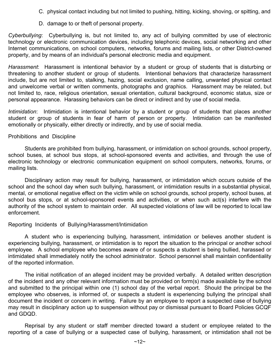- C. physical contact including but not limited to pushing, hitting, kicking, shoving, or spitting, and
- D. damage to or theft of personal property.

*Cyberbullying*: Cyberbullying is, but not limited to, any act of bullying committed by use of electronic technology or electronic communication devices, including telephonic devices, social networking and other Internet communications, on school computers, networks, forums and mailing lists, or other District-owned property, and by means of an individual's personal electronic media and equipment.

*Harassment*: Harassment is intentional behavior by a student or group of students that is disturbing or threatening to another student or group of students. Intentional behaviors that characterize harassment include, but are not limited to, stalking, hazing, social exclusion, name calling, unwanted physical contact and unwelcome verbal or written comments, photographs and graphics. Harassment may be related, but not limited to, race, religious orientation, sexual orientation, cultural background, economic status, size or personal appearance. Harassing behaviors can be direct or indirect and by use of social media.

*Intimidation*: Intimidation is intentional behavior by a student or group of students that places another student or group of students in fear of harm of person or property. Intimidation can be manifested emotionally or physically, either directly or indirectly, and by use of social media.

#### Prohibitions and Discipline

Students are prohibited from bullying, harassment, or intimidation on school grounds, school property, school buses, at school bus stops, at school-sponsored events and activities, and through the use of electronic technology or electronic communication equipment on school computers, networks, forums, or mailing lists.

Disciplinary action may result for bullying, harassment, or intimidation which occurs outside of the school and the school day when such bullying, harassment, or intimidation results in a substantial physical, mental, or emotional negative effect on the victim while on school grounds, school property, school buses, at school bus stops, or at school-sponsored events and activities, or when such act(s) interfere with the authority of the school system to maintain order. All suspected violations of law will be reported to local law enforcement.

#### Reporting Incidents of Bullying/Harassment/Intimidation

A student who is experiencing bullying, harassment, intimidation or believes another student is experiencing bullying, harassment, or intimidation is to report the situation to the principal or another school employee. A school employee who becomes aware of or suspects a student is being bullied, harassed or intimidated shall immediately notify the school administrator. School personnel shall maintain confidentiality of the reported information.

The initial notification of an alleged incident may be provided verbally. A detailed written description of the incident and any other relevant information must be provided on form(s) made available by the school and submitted to the principal within one (1) school day of the verbal report. Should the principal be the employee who observes, is informed of, or suspects a student is experiencing bullying the principal shall document the incident or concern in writing. Failure by an employee to report a suspected case of bullying may result in disciplinary action up to suspension without pay or dismissal pursuant to Board Policies GCQF and GDQD.

Reprisal by any student or staff member directed toward a student or employee related to the reporting of a case of bullying or a suspected case of bullying, harassment, or intimidation shall not be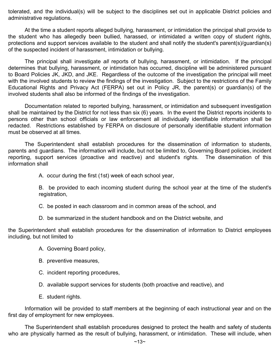tolerated, and the individual(s) will be subject to the disciplines set out in applicable District policies and administrative regulations.

At the time a student reports alleged bullying, harassment, or intimidation the principal shall provide to the student who has allegedly been bullied, harassed, or intimidated a written copy of student rights, protections and support services available to the student and shall notify the student's parent(s)/guardian(s) of the suspected incident of harassment, intimidation or bullying.

The principal shall investigate *all* reports of bullying, harassment, or intimidation. If the principal determines that bullying, harassment, or intimidation has occurred, discipline will be administered pursuant to Board Policies JK, JKD, and JKE. Regardless of the outcome of the investigation the principal will meet with the involved students to review the findings of the investigation. Subject to the restrictions of the Family Educational Rights and Privacy Act (FERPA) set out in Policy JR, the parent(s) or guardian(s) of the involved students shall also be informed of the findings of the investigation.

Documentation related to reported bullying, harassment, or intimidation and subsequent investigation shall be maintained by the District for not less than six (6) years. In the event the District reports incidents to persons other than school officials or law enforcement all individually identifiable information shall be redacted. Restrictions established by FERPA on disclosure of personally identifiable student information must be observed at all times.

The Superintendent shall establish procedures for the dissemination of information to students, parents and guardians. The information will include, but not be limited to, Governing Board policies, incident reporting, support services (proactive and reactive) and student's rights. The dissemination of this information shall

A. occur during the first (1st) week of each school year,

B. be provided to each incoming student during the school year at the time of the student's registration,

- C. be posted in each classroom and in common areas of the school, and
- D. be summarized in the student handbook and on the District website, and

the Superintendent shall establish procedures for the dissemination of information to District employees including, but not limited to

- A. Governing Board policy,
- B. preventive measures,
- C. incident reporting procedures,
- D. available support services for students (both proactive and reactive), and
- E. student rights.

Information will be provided to staff members at the beginning of each instructional year and on the first day of employment for new employees.

The Superintendent shall establish procedures designed to protect the health and safety of students who are physically harmed as the result of bullying, harassment, or intimidation. These will include, when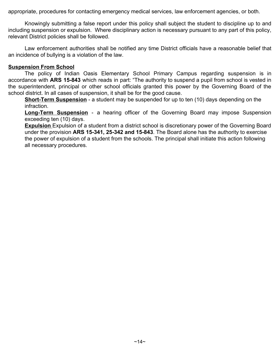appropriate, procedures for contacting emergency medical services, law enforcement agencies, or both.

Knowingly submitting a false report under this policy shall subject the student to discipline up to and including suspension or expulsion. Where disciplinary action is necessary pursuant to any part of this policy, relevant District policies shall be followed.

Law enforcement authorities shall be notified any time District officials have a reasonable belief that an incidence of bullying is a violation of the law.

#### **Suspension From School**

The policy of Indian Oasis Elementary School Primary Campus regarding suspension is in accordance with **ARS 15-843** which reads in part: "The authority to suspend a pupil from school is vested in the superintendent, principal or other school officials granted this power by the Governing Board of the school district. In all cases of suspension, it shall be for the good cause.

**Short-Term Suspension** - a student may be suspended for up to ten (10) days depending on the infraction.

**Long-Term Suspension** - a hearing officer of the Governing Board may impose Suspension exceeding ten (10) days.

**Expulsion** Expulsion of a student from a district school is discretionary power of the Governing Board under the provision **ARS 15-341, 25-342 and 15-843**. The Board alone has the authority to exercise the power of expulsion of a student from the schools. The principal shall initiate this action following all necessary procedures.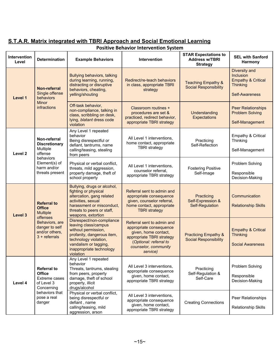#### **S.T.A.R. Matrix integrated with TBRI Approach and Social Emotional Learning Positive Behavior Intervention System**

| <b>Intervention</b><br>Level | <b>Determination</b>                                                                                                               | <b>Example Behaviors</b>                                                                                                                                                                | Intervention                                                                                                                                                                                      | <b>STAR Expectations to</b><br><b>Address w/TBRI</b><br><b>Strategy</b>                                                                                                  | <b>SEL with Sanford</b><br>Harmony                                                                      |
|------------------------------|------------------------------------------------------------------------------------------------------------------------------------|-----------------------------------------------------------------------------------------------------------------------------------------------------------------------------------------|---------------------------------------------------------------------------------------------------------------------------------------------------------------------------------------------------|--------------------------------------------------------------------------------------------------------------------------------------------------------------------------|---------------------------------------------------------------------------------------------------------|
| Level 1                      | Non-referral<br>Single offense<br>behaviors<br><b>Minor</b><br>infractions                                                         | <b>Bullying behaviors, talking</b><br>during learning, running,<br>distracting or disruptive<br>behaviors, cheating,<br>yelling/shouting                                                | Redirect/re-teach behaviors<br>in class, appropriate TBRI<br>strategy                                                                                                                             | <b>Teaching Empathy &amp;</b><br><b>Social Responsibility</b>                                                                                                            | Diversity and<br>Inclusion<br><b>Empathy &amp; Critical</b><br><b>Thinking</b><br><b>Self-Awareness</b> |
|                              |                                                                                                                                    | Off-task behavior,<br>non-compliance, talking in<br>class, scribbling on desk,<br>lying, blatant dress code<br>violation                                                                | Classroom routines +<br>procedures are set &<br>practiced, redirect behavior,<br>appropriate TBRI strategy                                                                                        | Understanding<br><b>Expectations</b>                                                                                                                                     | <b>Peer Relationships</b><br><b>Problem Solving</b><br>Self-Management                                  |
| Level 2                      | Non-referral<br><b>Discretionary</b><br>Multiple<br>offense<br>behaviors<br>Element(s) of<br>harm and/or<br>threats present        | Any Level 1 repeated<br>behavior<br>Being disrespectful or<br>defiant, tantrums, name<br>calling/teasing, stealing<br>from peers                                                        | All Level 1 interventions,<br>home contact, appropriate<br><b>TBRI</b> strategy                                                                                                                   | Practicing<br>Self-Reflection                                                                                                                                            | Empathy & Critical<br>Thinking<br>Self-Management                                                       |
|                              |                                                                                                                                    | Physical or verbal conflict,<br>threats, mild aggression,<br>property damage, theft of<br>school property                                                                               | All Level 1 interventions,<br>counselor referral,<br>appropriate TBRI strategy                                                                                                                    | <b>Fostering Positive</b><br>Self-Image                                                                                                                                  | Problem Solving<br>Responsible<br>Decision-Making                                                       |
| Level 3                      | <b>Referral to</b><br><b>Office</b><br><b>Multiple</b><br>offenses                                                                 | Bullying, drugs or alcohol,<br>fighting or physical<br>altercation, gang related<br>activities, sexual<br>harassment or misconduct,<br>threats to peers or staff,<br>weapons, extortion | Referral sent to admin and<br>appropriate consequence<br>given, counselor referral,<br>home contact, appropriate<br><b>TBRI</b> strategy                                                          | Practicing<br>Self-Expression &<br><b>Self-Regulation</b>                                                                                                                | Communication<br><b>Relationship Skills</b>                                                             |
|                              |                                                                                                                                    | Behaviors, are<br>danger to self<br>and/or others,<br>$3 +$ referrals                                                                                                                   | Disrespect/non-compliance<br>leaving class/campus<br>without permission,<br>profanity, dangerous item,<br>technology violation,<br>vandalism or tagging,<br>inappropriate technology<br>violation | Referral sent to admin and<br>appropriate consequence<br>given, home contact,<br>appropriate TBRI strategy<br>(Optional: referral to<br>counselor, community<br>service) | <b>Practicing Empathy &amp;</b><br><b>Social Responsibility</b>                                         |
| Level 4                      | <b>Referral to</b><br><b>Office</b><br><b>Extreme cases</b><br>of Level 3<br>Concerning<br>behaviors that<br>pose a real<br>danger | Any Level 1 repeated<br>behavior<br>Threats, tantrums, stealing<br>from peers, property<br>damage, theft of school<br>property, illicit<br>drugs/alcohol                                | All Level 3 interventions,<br>appropriate consequence<br>given, home contact,<br>appropriate TBRI strategy                                                                                        | Practicing<br>Self-Regulation &<br>Self-Care                                                                                                                             | Problem Solving<br>Responsible<br>Decision-Making                                                       |
|                              |                                                                                                                                    | Physical or verbal conflict,<br>being disrespectful or<br>defiant, name<br>calling/teasing, mild<br>aggression, arson                                                                   | All Level 3 interventions,<br>appropriate consequence<br>given, home contact,<br>appropriate TBRI strategy                                                                                        | <b>Creating Connections</b>                                                                                                                                              | Peer Relationships<br><b>Relationship Skills</b>                                                        |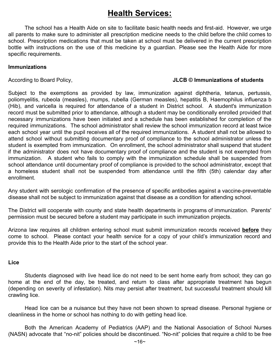## **Health Services:**

The school has a Health Aide on site to facilitate basic health needs and first-aid. However, we urge all parents to make sure to administer all prescription medicine needs to the child before the child comes to school. Prescription medications that must be taken at school must be delivered in the current prescription bottle with instructions on the use of this medicine by a guardian. Please see the Health Aide for more specific requirements.

#### **Immunizations**

#### According to Board Policy, **JLCB © Immunizations of students**

Subject to the exemptions as provided by law, immunization against diphtheria, tetanus, pertussis, poliomyelitis, rubeola (measles), mumps, rubella (German measles), hepatitis B, Haemophilus influenza b (Hib), and varicella is required for attendance of a student in District school. A student's immunization record must be submitted prior to attendance, although a student may be conditionally enrolled provided that necessary immunizations have been initiated and a schedule has been established for completion of the required immunizations. The school administrator shall review the school immunization record at least twice each school year until the pupil receives all of the required immunizations. A student shall not be allowed to attend school without submitting documentary proof of compliance to the school administrator unless the student is exempted from immunization. On enrollment, the school administrator shall suspend that student if the administrator does not have documentary proof of compliance and the student is not exempted from immunization. A student who fails to comply with the immunization schedule shall be suspended from school attendance until documentary proof of compliance is provided to the school administrator, except that a homeless student shall not be suspended from attendance until the fifth (5th) calendar day after enrollment.

Any student with serologic confirmation of the presence of specific antibodies against a vaccine-preventable disease shall not be subject to immunization against that disease as a condition for attending school.

The District will cooperate with county and state health departments in programs of immunization. Parents' permission must be secured before a student may participate in such immunization projects.

Arizona law requires all children entering school must submit immunization records received **before** they come to school. Please contact your health service for a copy of your child's immunization record and provide this to the Health Aide prior to the start of the school year.

#### **Lice**

Students diagnosed with live head lice do not need to be sent home early from school; they can go home at the end of the day, be treated, and return to class after appropriate treatment has begun (depending on severity of infestation). Nits may persist after treatment, but successful treatment should kill crawling lice.

Head lice can be a nuisance but they have not been shown to spread disease. Personal hygiene or cleanliness in the home or school has nothing to do with getting head lice.

Both the American Academy of Pediatrics (AAP) and the National Association of School Nurses (NASN) advocate that "no-nit" policies should be discontinued. "No-nit" policies that require a child to be free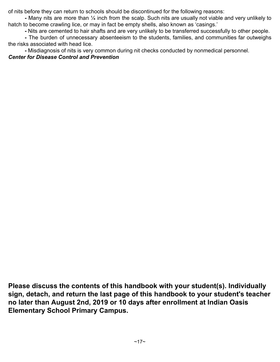of nits before they can return to schools should be discontinued for the following reasons:

**-** Many nits are more than ¼ inch from the scalp. Such nits are usually not viable and very unlikely to hatch to become crawling lice, or may in fact be empty shells, also known as 'casings.'

**-** Nits are cemented to hair shafts and are very unlikely to be transferred successfully to other people.

**-** The burden of unnecessary absenteeism to the students, families, and communities far outweighs the risks associated with head lice.

**-** Misdiagnosis of nits is very common during nit checks conducted by nonmedical personnel.

#### *Center for Disease Control and Prevention*

**Please discuss the contents of this handbook with your student(s). Individually sign, detach, and return the last page of this handbook to your student's teacher no later than August 2nd, 2019 or 10 days after enrollment at Indian Oasis Elementary School Primary Campus.**